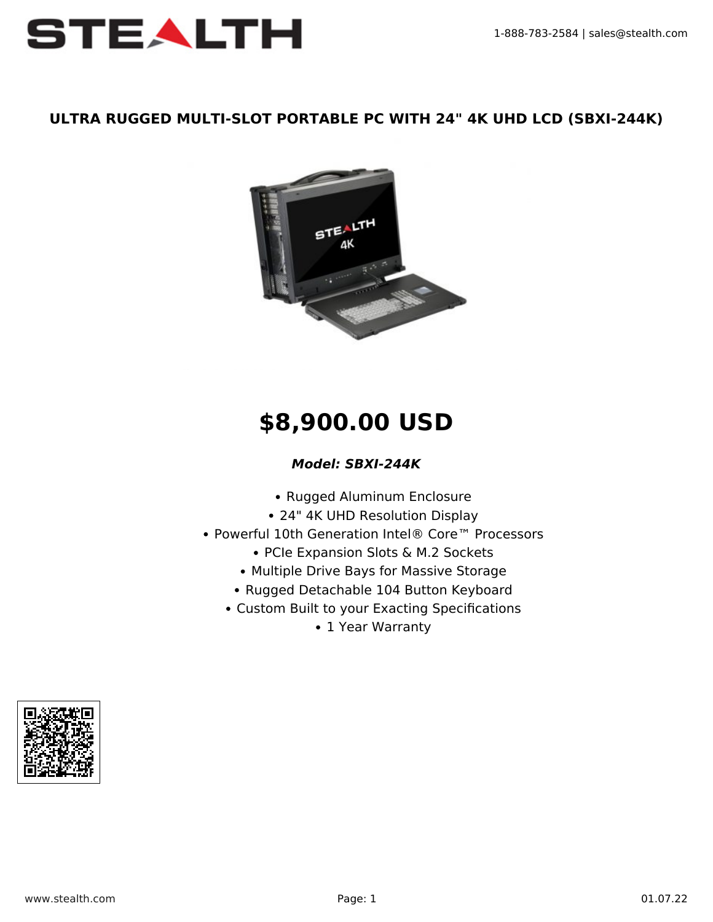

#### **ULTRA RUGGED MULTI-SLOT PORTABLE PC WITH 24" 4K UHD LCD (SBXI-244K)**



# **\$8,900.00 USD**

### *Model: SBXI-244K*

- Rugged Aluminum Enclosure
- 24" 4K UHD Resolution Display
- Powerful 10th Generation Intel® Core™ Processors
	- PCIe Expansion Slots & M.2 Sockets
	- Multiple Drive Bays for Massive Storage
	- Rugged Detachable 104 Button Keyboard
	- Custom Built to your Exacting Specifications
		- 1 Year Warranty

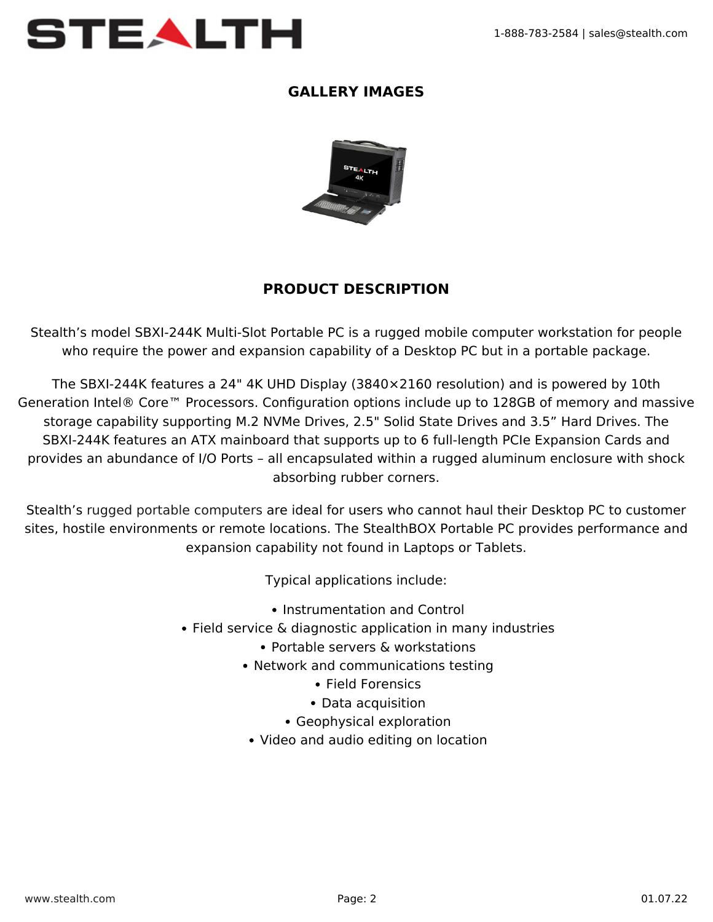

#### **GALLERY IMAGES**



## **PRODUCT DESCRIPTION**

Stealth's model SBXI-244K Multi-Slot Portable PC is a rugged mobile computer workstation for people who require the power and expansion capability of a Desktop PC but in a portable package.

The SBXI-244K features a 24" 4K UHD Display (3840×2160 resolution) and is powered by 10th Generation Intel® Core™ Processors. Configuration options include up to 128GB of memory and massive storage capability supporting M.2 NVMe Drives, 2.5" Solid State Drives and 3.5" Hard Drives. The SBXI-244K features an ATX mainboard that supports up to 6 full-length PCIe Expansion Cards and provides an abundance of I/O Ports – all encapsulated within a rugged aluminum enclosure with shock absorbing rubber corners.

Stealth's [rugged portable computers](https://www.stealth.com/ruggedportables/) are ideal for users who cannot haul their Desktop PC to customer sites, hostile environments or remote locations. The StealthBOX Portable PC provides performance and expansion capability not found in Laptops or Tablets.

Typical applications include:

- Instrumentation and Control
- Field service & diagnostic application in many industries
	- Portable servers & workstations
	- Network and communications testing
		- Field Forensics
		- Data acquisition
		- Geophysical exploration
	- Video and audio editing on location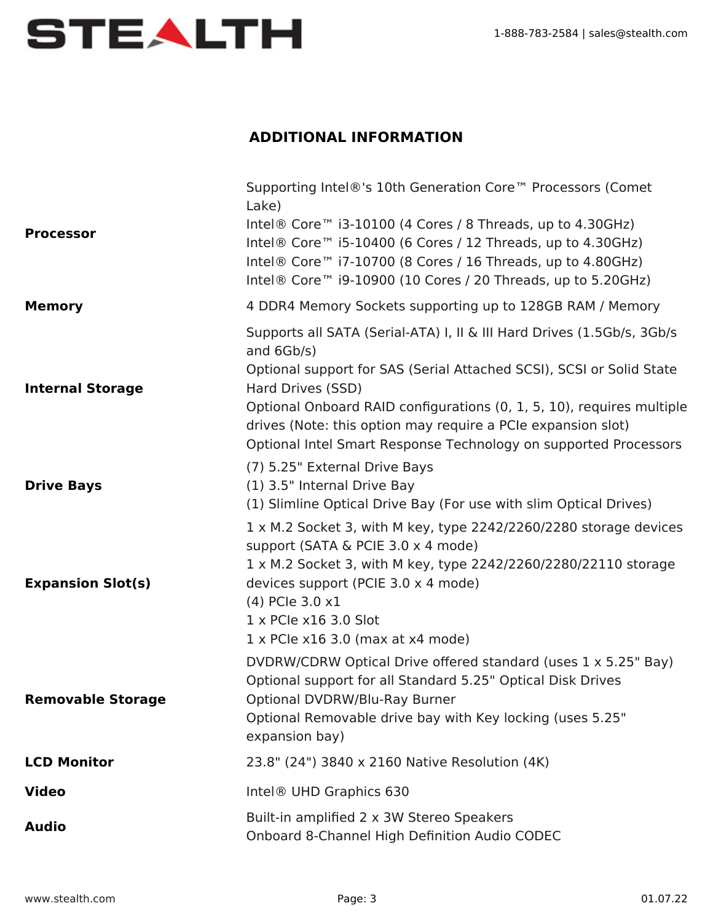

## **ADDITIONAL INFORMATION**

| <b>Processor</b>         | Supporting Intel®'s 10th Generation Core™ Processors (Comet<br>Lake)<br>Intel® Core <sup>™</sup> i3-10100 (4 Cores / 8 Threads, up to 4.30GHz)<br>Intel <sup>®</sup> Core <sup>™</sup> i5-10400 (6 Cores / 12 Threads, up to 4.30GHz)<br>Intel <sup>®</sup> Core <sup>™</sup> i7-10700 (8 Cores / 16 Threads, up to 4.80GHz)<br>Intel® Core™ i9-10900 (10 Cores / 20 Threads, up to 5.20GHz)   |
|--------------------------|------------------------------------------------------------------------------------------------------------------------------------------------------------------------------------------------------------------------------------------------------------------------------------------------------------------------------------------------------------------------------------------------|
| <b>Memory</b>            | 4 DDR4 Memory Sockets supporting up to 128GB RAM / Memory                                                                                                                                                                                                                                                                                                                                      |
| <b>Internal Storage</b>  | Supports all SATA (Serial-ATA) I, II & III Hard Drives (1.5Gb/s, 3Gb/s<br>and 6Gb/s)<br>Optional support for SAS (Serial Attached SCSI), SCSI or Solid State<br>Hard Drives (SSD)<br>Optional Onboard RAID configurations (0, 1, 5, 10), requires multiple<br>drives (Note: this option may require a PCIe expansion slot)<br>Optional Intel Smart Response Technology on supported Processors |
| <b>Drive Bays</b>        | (7) 5.25" External Drive Bays<br>(1) 3.5" Internal Drive Bay<br>(1) Slimline Optical Drive Bay (For use with slim Optical Drives)                                                                                                                                                                                                                                                              |
| <b>Expansion Slot(s)</b> | 1 x M.2 Socket 3, with M key, type 2242/2260/2280 storage devices<br>support (SATA & PCIE 3.0 x 4 mode)<br>1 x M.2 Socket 3, with M key, type 2242/2260/2280/22110 storage<br>devices support (PCIE 3.0 x 4 mode)<br>(4) PCIe 3.0 x1<br>$1 \times$ PCIe $\times$ 16 3.0 Slot<br>$1 \times$ PCIe x16 3.0 (max at x4 mode)                                                                       |
| <b>Removable Storage</b> | DVDRW/CDRW Optical Drive offered standard (uses 1 x 5.25" Bay)<br>Optional support for all Standard 5.25" Optical Disk Drives<br>Optional DVDRW/Blu-Ray Burner<br>Optional Removable drive bay with Key locking (uses 5.25"<br>expansion bay)                                                                                                                                                  |
| <b>LCD Monitor</b>       | 23.8" (24") 3840 x 2160 Native Resolution (4K)                                                                                                                                                                                                                                                                                                                                                 |
| <b>Video</b>             | Intel <sup>®</sup> UHD Graphics 630                                                                                                                                                                                                                                                                                                                                                            |
| <b>Audio</b>             | Built-in amplified 2 x 3W Stereo Speakers<br>Onboard 8-Channel High Definition Audio CODEC                                                                                                                                                                                                                                                                                                     |